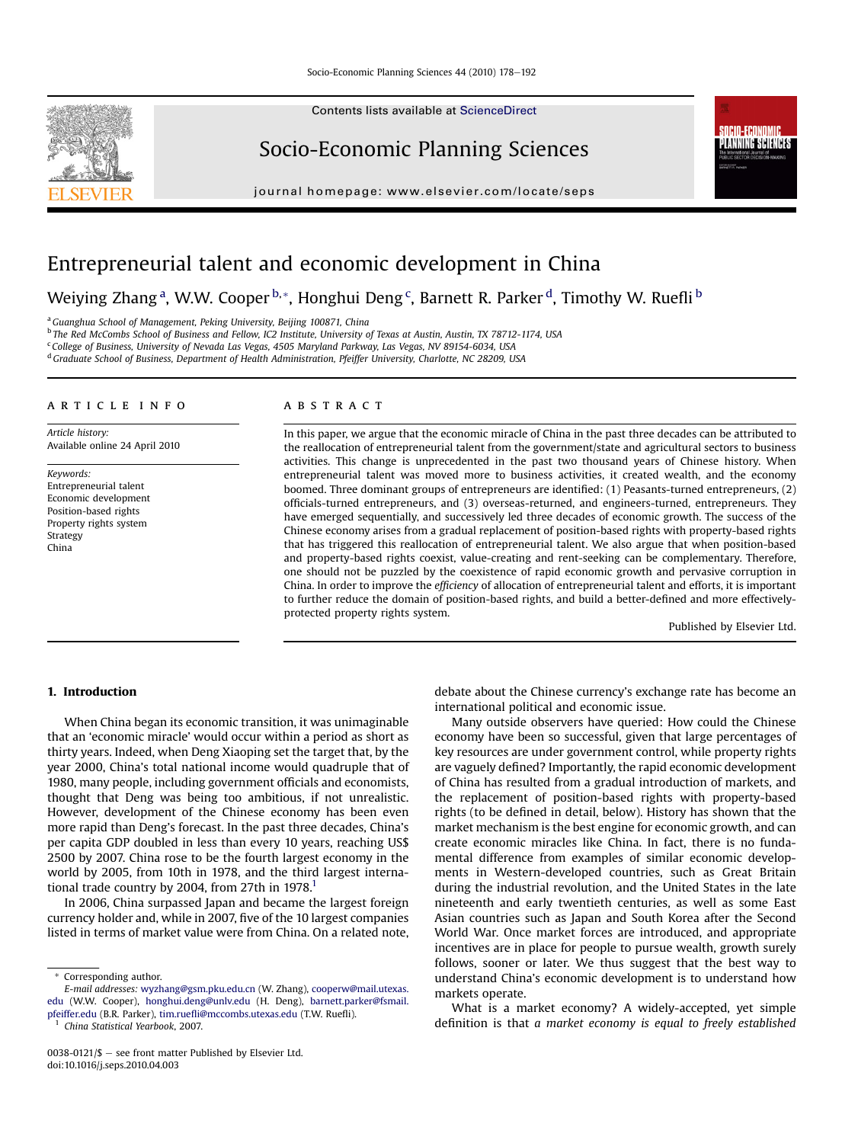Contents lists available at ScienceDirect

## Socio-Economic Planning Sciences

journal homepage: [www.elsevier.com/locate/seps](http://www.elsevier.com/locate/seps)



## Entrepreneurial talent and economic development in China

Weiying Zhang <sup>a</sup>, W.W. Cooper <sup>b, \*</sup>, Honghui Deng <sup>c</sup>, Barnett R. Parker <sup>d</sup>, Timothy W. Ruefli <sup>b</sup>

<sup>a</sup> Guanghua School of Management, Peking University, Beijing 100871, China

<sup>b</sup> The Red McCombs School of Business and Fellow, IC2 Institute, University of Texas at Austin, Austin, TX 78712-1174, USA

<sup>c</sup> College of Business, University of Nevada Las Vegas, 4505 Maryland Parkway, Las Vegas, NV 89154-6034, USA

<sup>d</sup> Graduate School of Business, Department of Health Administration, Pfeiffer University, Charlotte, NC 28209, USA

#### article info

Article history: Available online 24 April 2010

Keywords: Entrepreneurial talent Economic development Position-based rights Property rights system Strategy China

### **ABSTRACT**

In this paper, we argue that the economic miracle of China in the past three decades can be attributed to the reallocation of entrepreneurial talent from the government/state and agricultural sectors to business activities. This change is unprecedented in the past two thousand years of Chinese history. When entrepreneurial talent was moved more to business activities, it created wealth, and the economy boomed. Three dominant groups of entrepreneurs are identified: (1) Peasants-turned entrepreneurs, (2) officials-turned entrepreneurs, and (3) overseas-returned, and engineers-turned, entrepreneurs. They have emerged sequentially, and successively led three decades of economic growth. The success of the Chinese economy arises from a gradual replacement of position-based rights with property-based rights that has triggered this reallocation of entrepreneurial talent. We also argue that when position-based and property-based rights coexist, value-creating and rent-seeking can be complementary. Therefore, one should not be puzzled by the coexistence of rapid economic growth and pervasive corruption in China. In order to improve the efficiency of allocation of entrepreneurial talent and efforts, it is important to further reduce the domain of position-based rights, and build a better-defined and more effectivelyprotected property rights system.

Published by Elsevier Ltd.

#### 1. Introduction

When China began its economic transition, it was unimaginable that an 'economic miracle' would occur within a period as short as thirty years. Indeed, when Deng Xiaoping set the target that, by the year 2000, China's total national income would quadruple that of 1980, many people, including government officials and economists, thought that Deng was being too ambitious, if not unrealistic. However, development of the Chinese economy has been even more rapid than Deng's forecast. In the past three decades, China's per capita GDP doubled in less than every 10 years, reaching US\$ 2500 by 2007. China rose to be the fourth largest economy in the world by 2005, from 10th in 1978, and the third largest international trade country by 2004, from 27th in  $1978$ <sup>1</sup>

In 2006, China surpassed Japan and became the largest foreign currency holder and, while in 2007, five of the 10 largest companies listed in terms of market value were from China. On a related note,

<sup>1</sup> China Statistical Yearbook, 2007.

debate about the Chinese currency's exchange rate has become an international political and economic issue.

Many outside observers have queried: How could the Chinese economy have been so successful, given that large percentages of key resources are under government control, while property rights are vaguely defined? Importantly, the rapid economic development of China has resulted from a gradual introduction of markets, and the replacement of position-based rights with property-based rights (to be defined in detail, below). History has shown that the market mechanism is the best engine for economic growth, and can create economic miracles like China. In fact, there is no fundamental difference from examples of similar economic developments in Western-developed countries, such as Great Britain during the industrial revolution, and the United States in the late nineteenth and early twentieth centuries, as well as some East Asian countries such as Japan and South Korea after the Second World War. Once market forces are introduced, and appropriate incentives are in place for people to pursue wealth, growth surely follows, sooner or later. We thus suggest that the best way to understand China's economic development is to understand how markets operate.

What is a market economy? A widely-accepted, yet simple definition is that a market economy is equal to freely established

<sup>\*</sup> Corresponding author.

E-mail addresses: [wyzhang@gsm.pku.edu.cn](mailto:wyzhang@gsm.pku.edu.cn) (W. Zhang), [cooperw@mail.utexas.](mailto:cooperw@mail.utexas.edu) [edu](mailto:cooperw@mail.utexas.edu) (W.W. Cooper), [honghui.deng@unlv.edu](mailto:honghui.deng@unlv.edu) (H. Deng), [barnett.parker@fsmail.](mailto:barnett.parker@fsmail.pfeiffer.edu) [pfeiffer.edu](mailto:barnett.parker@fsmail.pfeiffer.edu) (B.R. Parker), tim.ruefl[i@mccombs.utexas.edu](mailto:tim.ruefli@mccombs.utexas.edu) (T.W. Ruefli).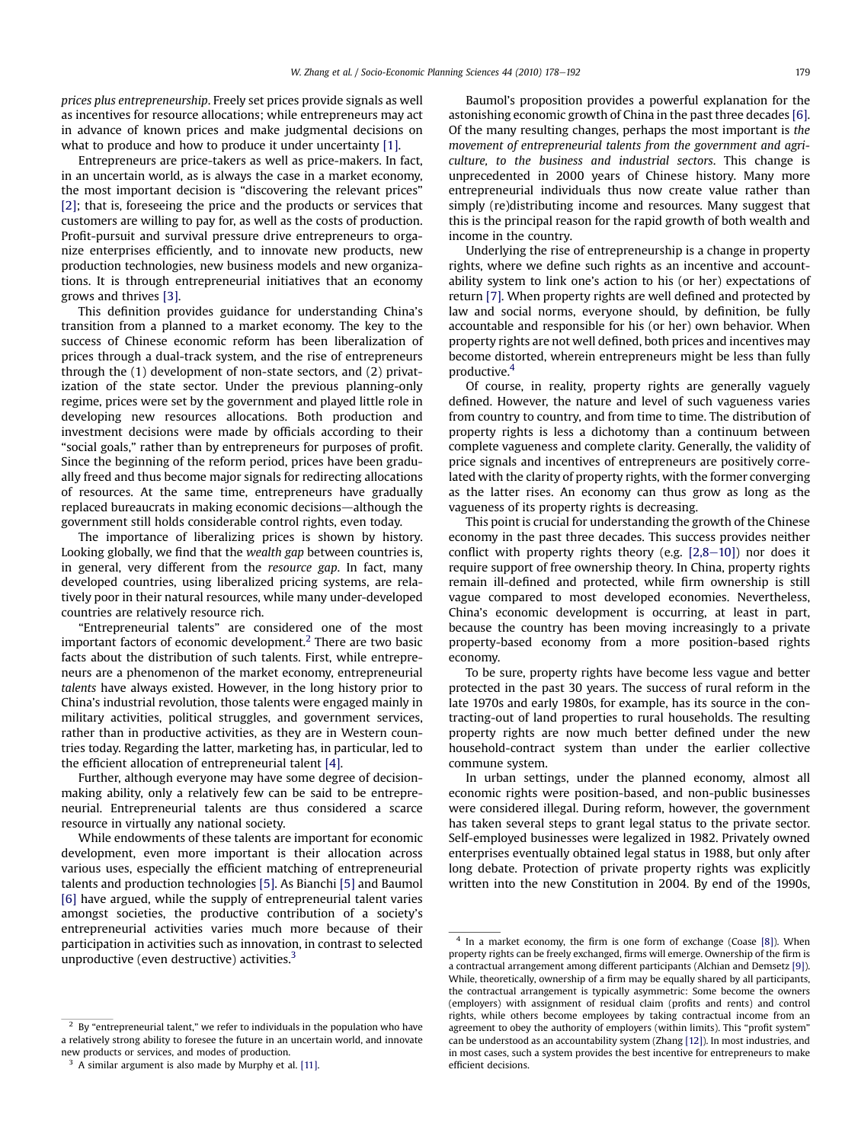prices plus entrepreneurship. Freely set prices provide signals as well as incentives for resource allocations; while entrepreneurs may act in advance of known prices and make judgmental decisions on what to produce and how to produce it under uncertainty [\[1\].](#page--1-0)

Entrepreneurs are price-takers as well as price-makers. In fact, in an uncertain world, as is always the case in a market economy, the most important decision is "discovering the relevant prices" [\[2\]](#page--1-0); that is, foreseeing the price and the products or services that customers are willing to pay for, as well as the costs of production. Profit-pursuit and survival pressure drive entrepreneurs to organize enterprises efficiently, and to innovate new products, new production technologies, new business models and new organizations. It is through entrepreneurial initiatives that an economy grows and thrives [\[3\].](#page--1-0)

This definition provides guidance for understanding China's transition from a planned to a market economy. The key to the success of Chinese economic reform has been liberalization of prices through a dual-track system, and the rise of entrepreneurs through the (1) development of non-state sectors, and (2) privatization of the state sector. Under the previous planning-only regime, prices were set by the government and played little role in developing new resources allocations. Both production and investment decisions were made by officials according to their "social goals," rather than by entrepreneurs for purposes of profit. Since the beginning of the reform period, prices have been gradually freed and thus become major signals for redirecting allocations of resources. At the same time, entrepreneurs have gradually replaced bureaucrats in making economic decisions—although the government still holds considerable control rights, even today.

The importance of liberalizing prices is shown by history. Looking globally, we find that the wealth gap between countries is, in general, very different from the resource gap. In fact, many developed countries, using liberalized pricing systems, are relatively poor in their natural resources, while many under-developed countries are relatively resource rich.

"Entrepreneurial talents" are considered one of the most important factors of economic development.<sup>2</sup> There are two basic facts about the distribution of such talents. First, while entrepreneurs are a phenomenon of the market economy, entrepreneurial talents have always existed. However, in the long history prior to China's industrial revolution, those talents were engaged mainly in military activities, political struggles, and government services, rather than in productive activities, as they are in Western countries today. Regarding the latter, marketing has, in particular, led to the efficient allocation of entrepreneurial talent [\[4\]](#page--1-0).

Further, although everyone may have some degree of decisionmaking ability, only a relatively few can be said to be entrepreneurial. Entrepreneurial talents are thus considered a scarce resource in virtually any national society.

While endowments of these talents are important for economic development, even more important is their allocation across various uses, especially the efficient matching of entrepreneurial talents and production technologies [\[5\].](#page--1-0) As Bianchi [\[5\]](#page--1-0) and Baumol [\[6\]](#page--1-0) have argued, while the supply of entrepreneurial talent varies amongst societies, the productive contribution of a society's entrepreneurial activities varies much more because of their participation in activities such as innovation, in contrast to selected unproductive (even destructive) activities. $3$ 

Baumol's proposition provides a powerful explanation for the astonishing economic growth of China in the past three decades [\[6\].](#page--1-0) Of the many resulting changes, perhaps the most important is the movement of entrepreneurial talents from the government and agriculture, to the business and industrial sectors. This change is unprecedented in 2000 years of Chinese history. Many more entrepreneurial individuals thus now create value rather than simply (re)distributing income and resources. Many suggest that this is the principal reason for the rapid growth of both wealth and income in the country.

Underlying the rise of entrepreneurship is a change in property rights, where we define such rights as an incentive and accountability system to link one's action to his (or her) expectations of return [\[7\]](#page--1-0). When property rights are well defined and protected by law and social norms, everyone should, by definition, be fully accountable and responsible for his (or her) own behavior. When property rights are not well defined, both prices and incentives may become distorted, wherein entrepreneurs might be less than fully productive.4

Of course, in reality, property rights are generally vaguely defined. However, the nature and level of such vagueness varies from country to country, and from time to time. The distribution of property rights is less a dichotomy than a continuum between complete vagueness and complete clarity. Generally, the validity of price signals and incentives of entrepreneurs are positively correlated with the clarity of property rights, with the former converging as the latter rises. An economy can thus grow as long as the vagueness of its property rights is decreasing.

This point is crucial for understanding the growth of the Chinese economy in the past three decades. This success provides neither conflict with property rights theory (e.g.  $[2,8-10]$  $[2,8-10]$ ) nor does it require support of free ownership theory. In China, property rights remain ill-defined and protected, while firm ownership is still vague compared to most developed economies. Nevertheless, China's economic development is occurring, at least in part, because the country has been moving increasingly to a private property-based economy from a more position-based rights economy.

To be sure, property rights have become less vague and better protected in the past 30 years. The success of rural reform in the late 1970s and early 1980s, for example, has its source in the contracting-out of land properties to rural households. The resulting property rights are now much better defined under the new household-contract system than under the earlier collective commune system.

In urban settings, under the planned economy, almost all economic rights were position-based, and non-public businesses were considered illegal. During reform, however, the government has taken several steps to grant legal status to the private sector. Self-employed businesses were legalized in 1982. Privately owned enterprises eventually obtained legal status in 1988, but only after long debate. Protection of private property rights was explicitly written into the new Constitution in 2004. By end of the 1990s,

 $2$  By "entrepreneurial talent," we refer to individuals in the population who have a relatively strong ability to foresee the future in an uncertain world, and innovate new products or services, and modes of production.

<sup>&</sup>lt;sup>3</sup> A similar argument is also made by Murphy et al. [\[11\]](#page--1-0).

<sup>&</sup>lt;sup>4</sup> In a market economy, the firm is one form of exchange (Coase [\[8\]](#page--1-0)). When property rights can be freely exchanged, firms will emerge. Ownership of the firm is a contractual arrangement among different participants (Alchian and Demsetz [\[9\]\)](#page--1-0). While, theoretically, ownership of a firm may be equally shared by all participants, the contractual arrangement is typically asymmetric: Some become the owners (employers) with assignment of residual claim (profits and rents) and control rights, while others become employees by taking contractual income from an agreement to obey the authority of employers (within limits). This "profit system" can be understood as an accountability system (Zhang [\[12\]\)](#page--1-0). In most industries, and in most cases, such a system provides the best incentive for entrepreneurs to make efficient decisions.